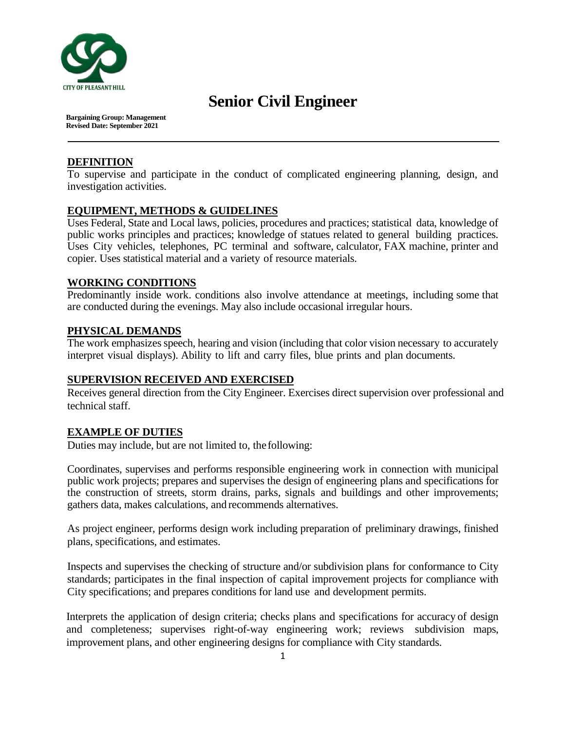

# **Senior Civil Engineer**

**Bargaining Group: Management Revised Date: September 2021**

## **DEFINITION**

To supervise and participate in the conduct of complicated engineering planning, design, and investigation activities.

## **EQUIPMENT, METHODS & GUIDELINES**

Uses Federal, State and Local laws, policies, procedures and practices; statistical data, knowledge of public works principles and practices; knowledge of statues related to general building practices. Uses City vehicles, telephones, PC terminal and software, calculator, FAX machine, printer and copier. Uses statistical material and a variety of resource materials.

## **WORKING CONDITIONS**

Predominantly inside work. conditions also involve attendance at meetings, including some that are conducted during the evenings. May also include occasional irregular hours.

## **PHYSICAL DEMANDS**

The work emphasizes speech, hearing and vision (including that color vision necessary to accurately interpret visual displays). Ability to lift and carry files, blue prints and plan documents.

## **SUPERVISION RECEIVED AND EXERCISED**

Receives general direction from the City Engineer. Exercises direct supervision over professional and technical staff.

#### **EXAMPLE OF DUTIES**

Duties may include, but are not limited to, thefollowing:

Coordinates, supervises and performs responsible engineering work in connection with municipal public work projects; prepares and supervises the design of engineering plans and specifications for the construction of streets, storm drains, parks, signals and buildings and other improvements; gathers data, makes calculations, and recommends alternatives.

As project engineer, performs design work including preparation of preliminary drawings, finished plans, specifications, and estimates.

Inspects and supervises the checking of structure and/or subdivision plans for conformance to City standards; participates in the final inspection of capital improvement projects for compliance with City specifications; and prepares conditions for land use and development permits.

Interprets the application of design criteria; checks plans and specifications for accuracy of design and completeness; supervises right-of-way engineering work; reviews subdivision maps, improvement plans, and other engineering designs for compliance with City standards.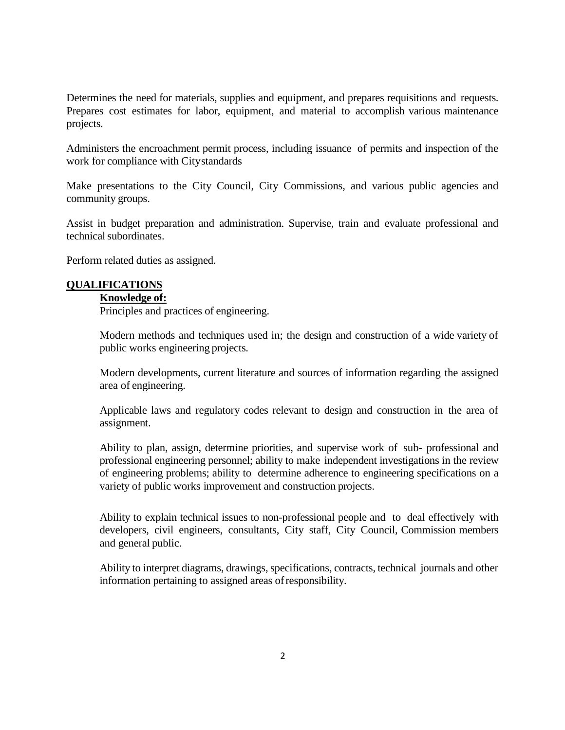Determines the need for materials, supplies and equipment, and prepares requisitions and requests. Prepares cost estimates for labor, equipment, and material to accomplish various maintenance projects.

Administers the encroachment permit process, including issuance of permits and inspection of the work for compliance with Citystandards

Make presentations to the City Council, City Commissions, and various public agencies and community groups.

Assist in budget preparation and administration. Supervise, train and evaluate professional and technical subordinates.

Perform related duties as assigned.

## **QUALIFICATIONS**

## **Knowledge of:**

Principles and practices of engineering.

Modern methods and techniques used in; the design and construction of a wide variety of public works engineering projects.

Modern developments, current literature and sources of information regarding the assigned area of engineering.

Applicable laws and regulatory codes relevant to design and construction in the area of assignment.

Ability to plan, assign, determine priorities, and supervise work of sub- professional and professional engineering personnel; ability to make independent investigations in the review of engineering problems; ability to determine adherence to engineering specifications on a variety of public works improvement and construction projects.

Ability to explain technical issues to non-professional people and to deal effectively with developers, civil engineers, consultants, City staff, City Council, Commission members and general public.

Ability to interpret diagrams, drawings, specifications, contracts, technical journals and other information pertaining to assigned areas ofresponsibility.